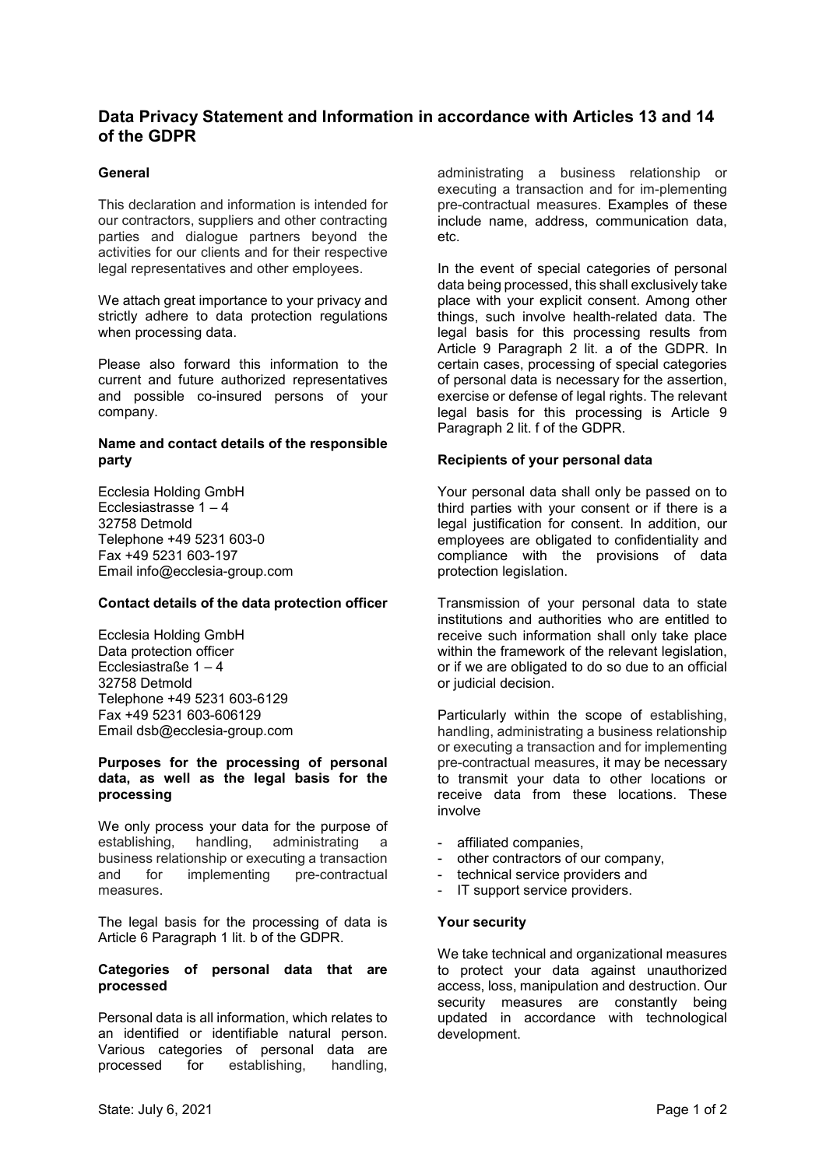# **Data Privacy Statement and Information in accordance with Articles 13 and 14 of the GDPR**

# **General**

This declaration and information is intended for our contractors, suppliers and other contracting parties and dialogue partners beyond the activities for our clients and for their respective legal representatives and other employees.

We attach great importance to your privacy and strictly adhere to data protection regulations when processing data.

Please also forward this information to the current and future authorized representatives and possible co-insured persons of your company.

### **Name and contact details of the responsible party**

Ecclesia Holding GmbH Ecclesiastrasse 1 – 4 32758 Detmold Telephone +49 5231 603-0 Fax +49 5231 603-197 Email info@ecclesia-group.com

### **Contact details of the data protection officer**

Ecclesia Holding GmbH Data protection officer Ecclesiastraße 1 – 4 32758 Detmold Telephone +49 5231 603-6129 Fax +49 5231 603-606129 Email dsb@ecclesia-group.com

### **Purposes for the processing of personal data, as well as the legal basis for the processing**

We only process your data for the purpose of establishing, handling, administrating a business relationship or executing a transaction and for implementing pre-contractual measures.

The legal basis for the processing of data is Article 6 Paragraph 1 lit. b of the GDPR.

### **Categories of personal data that are processed**

Personal data is all information, which relates to an identified or identifiable natural person. Various categories of personal data are processed for establishing, handling,

administrating a business relationship or executing a transaction and for im-plementing pre-contractual measures. Examples of these include name, address, communication data, etc.

In the event of special categories of personal data being processed, this shall exclusively take place with your explicit consent. Among other things, such involve health-related data. The legal basis for this processing results from Article 9 Paragraph 2 lit. a of the GDPR. In certain cases, processing of special categories of personal data is necessary for the assertion, exercise or defense of legal rights. The relevant legal basis for this processing is Article 9 Paragraph 2 lit. f of the GDPR.

# **Recipients of your personal data**

Your personal data shall only be passed on to third parties with your consent or if there is a legal justification for consent. In addition, our employees are obligated to confidentiality and compliance with the provisions of data protection legislation.

Transmission of your personal data to state institutions and authorities who are entitled to receive such information shall only take place within the framework of the relevant legislation, or if we are obligated to do so due to an official or judicial decision.

Particularly within the scope of establishing, handling, administrating a business relationship or executing a transaction and for implementing pre-contractual measures, it may be necessary to transmit your data to other locations or receive data from these locations. These involve

- affiliated companies,
- other contractors of our company,
- technical service providers and
- IT support service providers.

### **Your security**

We take technical and organizational measures to protect your data against unauthorized access, loss, manipulation and destruction. Our security measures are constantly being updated in accordance with technological development.